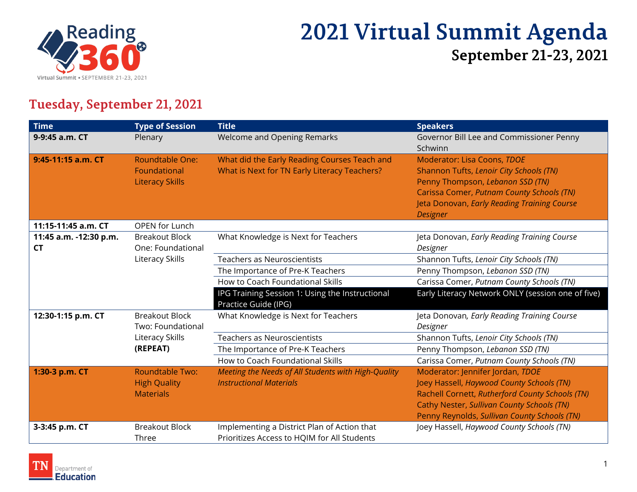

# **2021 Virtual Summit Agenda September 21-23, 2021**

### **Tuesday, September 21, 2021**

| <b>Time</b>                         | <b>Type of Session</b>                                            | <b>Title</b>                                                                                 | <b>Speakers</b>                                                                                                                                                                                                                |
|-------------------------------------|-------------------------------------------------------------------|----------------------------------------------------------------------------------------------|--------------------------------------------------------------------------------------------------------------------------------------------------------------------------------------------------------------------------------|
| 9-9:45 a.m. CT                      | Plenary                                                           | Welcome and Opening Remarks                                                                  | Governor Bill Lee and Commissioner Penny<br>Schwinn                                                                                                                                                                            |
| 9:45-11:15 a.m. CT                  | <b>Roundtable One:</b><br>Foundational<br><b>Literacy Skills</b>  | What did the Early Reading Courses Teach and<br>What is Next for TN Early Literacy Teachers? | Moderator: Lisa Coons, TDOE<br>Shannon Tufts, Lenoir City Schools (TN)<br>Penny Thompson, Lebanon SSD (TN)<br>Carissa Comer, Putnam County Schools (TN)<br>Jeta Donovan, Early Reading Training Course<br><b>Designer</b>      |
| 11:15-11:45 a.m. CT                 | <b>OPEN for Lunch</b>                                             |                                                                                              |                                                                                                                                                                                                                                |
| 11:45 a.m. -12:30 p.m.<br><b>CT</b> | <b>Breakout Block</b><br>One: Foundational                        | What Knowledge is Next for Teachers                                                          | Jeta Donovan, Early Reading Training Course<br>Designer                                                                                                                                                                        |
|                                     | Literacy Skills                                                   | <b>Teachers as Neuroscientists</b>                                                           | Shannon Tufts, Lenoir City Schools (TN)                                                                                                                                                                                        |
|                                     |                                                                   | The Importance of Pre-K Teachers                                                             | Penny Thompson, Lebanon SSD (TN)                                                                                                                                                                                               |
|                                     |                                                                   | How to Coach Foundational Skills                                                             | Carissa Comer, Putnam County Schools (TN)                                                                                                                                                                                      |
|                                     |                                                                   | IPG Training Session 1: Using the Instructional<br>Practice Guide (IPG)                      | Early Literacy Network ONLY (session one of five)                                                                                                                                                                              |
| 12:30-1:15 p.m. CT                  | <b>Breakout Block</b><br>Two: Foundational                        | What Knowledge is Next for Teachers                                                          | Jeta Donovan, Early Reading Training Course<br>Designer                                                                                                                                                                        |
|                                     | Literacy Skills                                                   | <b>Teachers as Neuroscientists</b>                                                           | Shannon Tufts, Lenoir City Schools (TN)                                                                                                                                                                                        |
|                                     | (REPEAT)                                                          | The Importance of Pre-K Teachers                                                             | Penny Thompson, Lebanon SSD (TN)                                                                                                                                                                                               |
|                                     |                                                                   | How to Coach Foundational Skills                                                             | Carissa Comer, Putnam County Schools (TN)                                                                                                                                                                                      |
| 1:30-3 p.m. CT                      | <b>Roundtable Two:</b><br><b>High Quality</b><br><b>Materials</b> | Meeting the Needs of All Students with High-Quality<br><b>Instructional Materials</b>        | Moderator: Jennifer Jordan, TDOE<br>Joey Hassell, Haywood County Schools (TN)<br>Rachell Cornett, Rutherford County Schools (TN)<br>Cathy Nester, Sullivan County Schools (TN)<br>Penny Reynolds, Sullivan County Schools (TN) |
| 3-3:45 p.m. CT                      | <b>Breakout Block</b><br>Three                                    | Implementing a District Plan of Action that<br>Prioritizes Access to HQIM for All Students   | Joey Hassell, Haywood County Schools (TN)                                                                                                                                                                                      |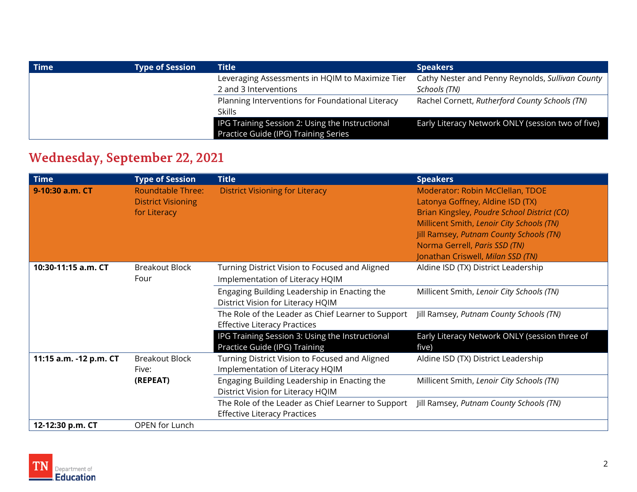| <b>Time</b> | <b>Type of Session</b> | <b>Title</b>                                     | <b>Speakers</b>                                   |
|-------------|------------------------|--------------------------------------------------|---------------------------------------------------|
|             |                        | Leveraging Assessments in HQIM to Maximize Tier  | Cathy Nester and Penny Reynolds, Sullivan County  |
|             |                        | 2 and 3 Interventions                            | Schools (TN)                                      |
|             |                        | Planning Interventions for Foundational Literacy | Rachel Cornett, Rutherford County Schools (TN)    |
|             |                        | <b>Skills</b>                                    |                                                   |
|             |                        | IPG Training Session 2: Using the Instructional  | Early Literacy Network ONLY (session two of five) |
|             |                        | Practice Guide (IPG) Training Series             |                                                   |

### **Wednesday, September 22, 2021**

| <b>Time</b>            | <b>Type of Session</b>                                                | <b>Title</b>                                                                              | <b>Speakers</b>                                                                                                                                                                                                                                                                          |
|------------------------|-----------------------------------------------------------------------|-------------------------------------------------------------------------------------------|------------------------------------------------------------------------------------------------------------------------------------------------------------------------------------------------------------------------------------------------------------------------------------------|
| 9-10:30 a.m. CT        | <b>Roundtable Three:</b><br><b>District Visioning</b><br>for Literacy | <b>District Visioning for Literacy</b>                                                    | Moderator: Robin McClellan, TDOE<br>Latonya Goffney, Aldine ISD (TX)<br>Brian Kingsley, Poudre School District (CO)<br>Millicent Smith, Lenoir City Schools (TN)<br><b>Jill Ramsey, Putnam County Schools (TN)</b><br>Norma Gerrell, Paris SSD (TN)<br>Jonathan Criswell, Milan SSD (TN) |
| 10:30-11:15 a.m. CT    | <b>Breakout Block</b><br>Four                                         | Turning District Vision to Focused and Aligned<br>Implementation of Literacy HQIM         | Aldine ISD (TX) District Leadership                                                                                                                                                                                                                                                      |
|                        |                                                                       | Engaging Building Leadership in Enacting the<br>District Vision for Literacy HQIM         | Millicent Smith, Lenoir City Schools (TN)                                                                                                                                                                                                                                                |
|                        |                                                                       | The Role of the Leader as Chief Learner to Support<br><b>Effective Literacy Practices</b> | Jill Ramsey, Putnam County Schools (TN)                                                                                                                                                                                                                                                  |
|                        |                                                                       | IPG Training Session 3: Using the Instructional<br>Practice Guide (IPG) Training          | Early Literacy Network ONLY (session three of<br>five)                                                                                                                                                                                                                                   |
| 11:15 a.m. -12 p.m. CT | <b>Breakout Block</b><br>Five:                                        | Turning District Vision to Focused and Aligned<br>Implementation of Literacy HQIM         | Aldine ISD (TX) District Leadership                                                                                                                                                                                                                                                      |
|                        | (REPEAT)                                                              | Engaging Building Leadership in Enacting the<br>District Vision for Literacy HQIM         | Millicent Smith, Lenoir City Schools (TN)                                                                                                                                                                                                                                                |
|                        |                                                                       | The Role of the Leader as Chief Learner to Support<br><b>Effective Literacy Practices</b> | Jill Ramsey, Putnam County Schools (TN)                                                                                                                                                                                                                                                  |
| 12-12:30 p.m. CT       | OPEN for Lunch                                                        |                                                                                           |                                                                                                                                                                                                                                                                                          |

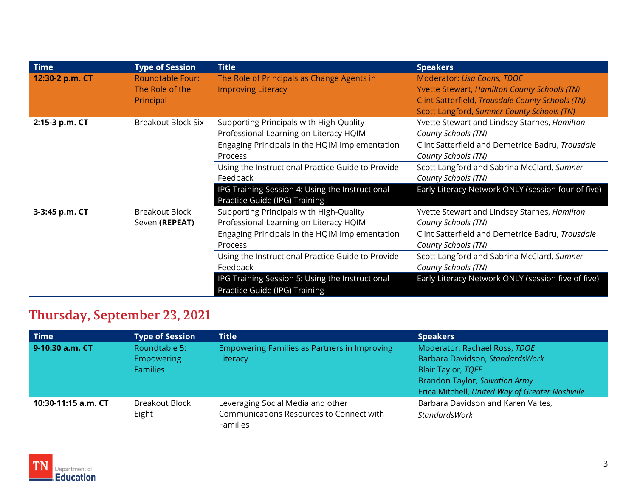| <b>Time</b>     | <b>Type of Session</b>                                  | <b>Title</b>                                                                      | <b>Speakers</b>                                                                                                                                                                      |
|-----------------|---------------------------------------------------------|-----------------------------------------------------------------------------------|--------------------------------------------------------------------------------------------------------------------------------------------------------------------------------------|
| 12:30-2 p.m. CT | <b>Roundtable Four:</b><br>The Role of the<br>Principal | The Role of Principals as Change Agents in<br><b>Improving Literacy</b>           | Moderator: Lisa Coons, TDOE<br><b>Yvette Stewart, Hamilton County Schools (TN)</b><br>Clint Satterfield, Trousdale County Schools (TN)<br>Scott Langford, Sumner County Schools (TN) |
| 2:15-3 p.m. CT  | <b>Breakout Block Six</b>                               | Supporting Principals with High-Quality<br>Professional Learning on Literacy HQIM | Yvette Stewart and Lindsey Starnes, Hamilton<br>County Schools (TN)                                                                                                                  |
|                 |                                                         | Engaging Principals in the HQIM Implementation<br>Process                         | Clint Satterfield and Demetrice Badru, Trousdale<br>County Schools (TN)                                                                                                              |
|                 |                                                         | Using the Instructional Practice Guide to Provide<br>Feedback                     | Scott Langford and Sabrina McClard, Sumner<br>County Schools (TN)                                                                                                                    |
|                 |                                                         | IPG Training Session 4: Using the Instructional<br>Practice Guide (IPG) Training  | Early Literacy Network ONLY (session four of five)                                                                                                                                   |
| 3-3:45 p.m. CT  | <b>Breakout Block</b><br>Seven (REPEAT)                 | Supporting Principals with High-Quality<br>Professional Learning on Literacy HQIM | Yvette Stewart and Lindsey Starnes, Hamilton<br>County Schools (TN)                                                                                                                  |
|                 |                                                         | Engaging Principals in the HQIM Implementation<br>Process                         | Clint Satterfield and Demetrice Badru, Trousdale<br>County Schools (TN)                                                                                                              |
|                 |                                                         | Using the Instructional Practice Guide to Provide<br>Feedback                     | Scott Langford and Sabrina McClard, Sumner<br>County Schools (TN)                                                                                                                    |
|                 |                                                         | IPG Training Session 5: Using the Instructional<br>Practice Guide (IPG) Training  | Early Literacy Network ONLY (session five of five)                                                                                                                                   |

## **Thursday, September 23, 2021**

| <b>Time</b>         | <b>Type of Session</b> | <b>Title</b>                                                | <b>Speakers</b>                                 |
|---------------------|------------------------|-------------------------------------------------------------|-------------------------------------------------|
| 9-10:30 a.m. CT     | Roundtable 5:          | Empowering Families as Partners in Improving                | Moderator: Rachael Ross, TDOE                   |
|                     | Empowering             | Literacy                                                    | Barbara Davidson, StandardsWork                 |
|                     | <b>Families</b>        |                                                             | <b>Blair Taylor, TQEE</b>                       |
|                     |                        |                                                             | <b>Brandon Taylor, Salvation Army</b>           |
|                     |                        |                                                             | Erica Mitchell, United Way of Greater Nashville |
| 10:30-11:15 a.m. CT | <b>Breakout Block</b>  | Leveraging Social Media and other                           | Barbara Davidson and Karen Vaites,              |
|                     | Eight                  | Communications Resources to Connect with<br><b>Families</b> | <b>StandardsWork</b>                            |

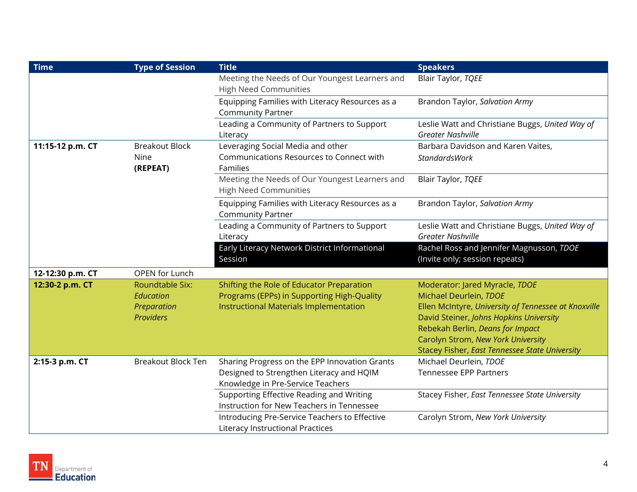| <b>Time</b>      | <b>Type of Session</b>                                          | <b>Title</b>                                                                                                                      | <b>Speakers</b>                                                                                                                                                                                                                                                                         |
|------------------|-----------------------------------------------------------------|-----------------------------------------------------------------------------------------------------------------------------------|-----------------------------------------------------------------------------------------------------------------------------------------------------------------------------------------------------------------------------------------------------------------------------------------|
|                  |                                                                 | Meeting the Needs of Our Youngest Learners and<br><b>High Need Communities</b>                                                    | Blair Taylor, TQEE                                                                                                                                                                                                                                                                      |
|                  |                                                                 | Equipping Families with Literacy Resources as a<br><b>Community Partner</b>                                                       | Brandon Taylor, Salvation Army                                                                                                                                                                                                                                                          |
|                  |                                                                 | Leading a Community of Partners to Support<br>Literacy                                                                            | Leslie Watt and Christiane Buggs, United Way of<br><b>Greater Nashville</b>                                                                                                                                                                                                             |
| 11:15-12 p.m. CT | <b>Breakout Block</b><br>Nine<br>(REPEAT)                       | Leveraging Social Media and other<br>Communications Resources to Connect with<br>Families                                         | Barbara Davidson and Karen Vaites,<br><b>StandardsWork</b>                                                                                                                                                                                                                              |
|                  |                                                                 | Meeting the Needs of Our Youngest Learners and<br><b>High Need Communities</b>                                                    | Blair Taylor, TQEE                                                                                                                                                                                                                                                                      |
|                  |                                                                 | Equipping Families with Literacy Resources as a<br><b>Community Partner</b>                                                       | Brandon Taylor, Salvation Army                                                                                                                                                                                                                                                          |
|                  |                                                                 | Leading a Community of Partners to Support<br>Literacy                                                                            | Leslie Watt and Christiane Buggs, United Way of<br><b>Greater Nashville</b>                                                                                                                                                                                                             |
|                  |                                                                 | Early Literacy Network District Informational<br>Session                                                                          | Rachel Ross and Jennifer Magnusson, TDOE<br>(Invite only; session repeats)                                                                                                                                                                                                              |
| 12-12:30 p.m. CT | OPEN for Lunch                                                  |                                                                                                                                   |                                                                                                                                                                                                                                                                                         |
| 12:30-2 p.m. CT  | Roundtable Six:<br>Education<br>Preparation<br><b>Providers</b> | Shifting the Role of Educator Preparation<br>Programs (EPPs) in Supporting High-Quality<br>Instructional Materials Implementation | Moderator: Jared Myracle, TDOE<br>Michael Deurlein, TDOE<br>Ellen McIntyre, University of Tennessee at Knoxville<br>David Steiner, Johns Hopkins University<br>Rebekah Berlin, Deans for Impact<br>Carolyn Strom, New York University<br>Stacey Fisher, East Tennessee State University |
| 2:15-3 p.m. CT   | <b>Breakout Block Ten</b>                                       | Sharing Progress on the EPP Innovation Grants<br>Designed to Strengthen Literacy and HQIM<br>Knowledge in Pre-Service Teachers    | Michael Deurlein, TDOE<br>Tennessee EPP Partners                                                                                                                                                                                                                                        |
|                  |                                                                 | Supporting Effective Reading and Writing<br>Instruction for New Teachers in Tennessee                                             | Stacey Fisher, East Tennessee State University                                                                                                                                                                                                                                          |
|                  |                                                                 | Introducing Pre-Service Teachers to Effective<br>Literacy Instructional Practices                                                 | Carolyn Strom, New York University                                                                                                                                                                                                                                                      |